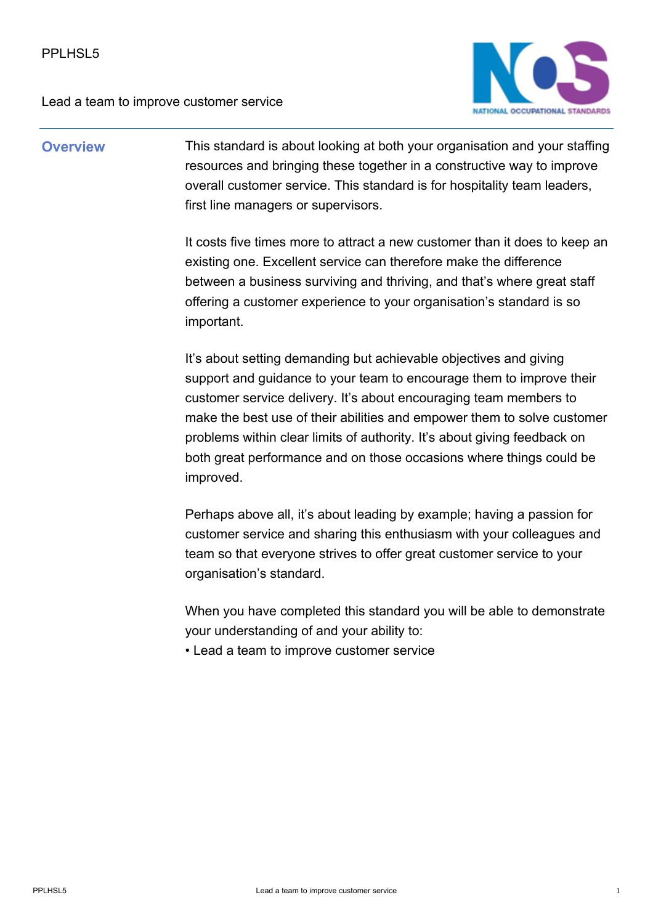

## **Overview** This standard is about looking at both your organisation and your staffing resources and bringing these together in a constructive way to improve overall customer service. This standard is for hospitality team leaders, first line managers or supervisors.

It costs five times more to attract a new customer than it does to keep an existing one. Excellent service can therefore make the difference between a business surviving and thriving, and that's where great staff offering a customer experience to your organisation's standard is so important.

It's about setting demanding but achievable objectives and giving support and quidance to your team to encourage them to improve their customer service delivery. It's about encouraging team members to make the best use of their abilities and empower them to solve customer problems within clear limits of authority. It's about giving feedback on both great performance and on those occasions where things could be improved.

Perhaps above all, it's about leading by example; having a passion for customer service and sharing this enthusiasm with your colleagues and team so that everyone strives to offer great customer service to your organisation's standard.

When you have completed this standard you will be able to demonstrate your understanding of and your ability to:

• Lead a team to improve customer service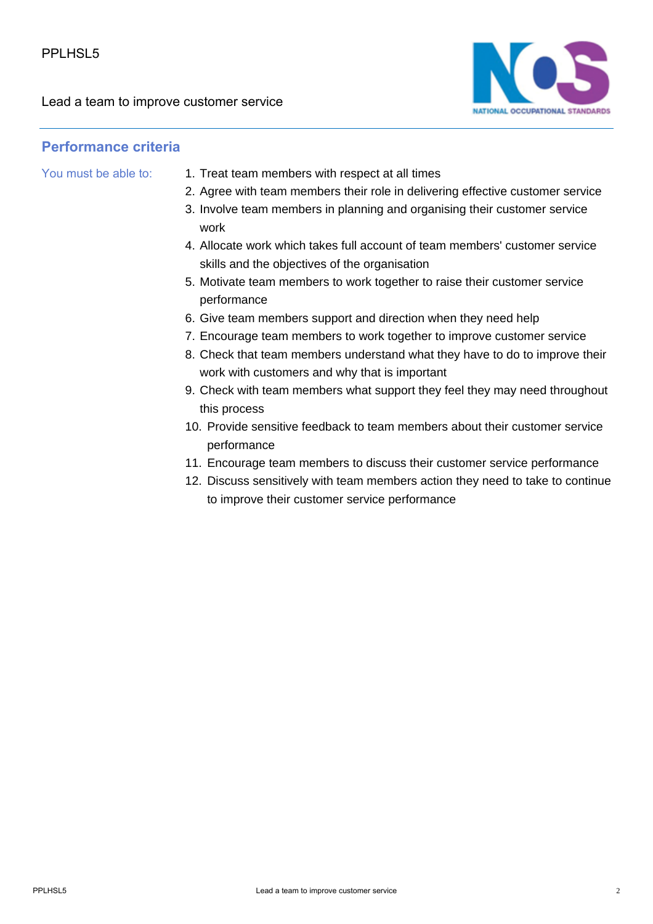

## **Performance criteria**

- You must be able to: 1. Treat team members with respect at all times
	- 2. Agree with team members their role in delivering effective customer service
	- 3. Involve team members in planning and organising their customer service work
	- Allocate work which takes full account of team members' customer service 4. skills and the objectives of the organisation
	- 5. Motivate team members to work together to raise their customer service performance
	- 6. Give team members support and direction when they need help
	- 7. Encourage team members to work together to improve customer service
	- 8. Check that team members understand what they have to do to improve their work with customers and why that is important
	- 9. Check with team members what support they feel they may need throughout this process
	- 10. Provide sensitive feedback to team members about their customer service performance
	- 11. Encourage team members to discuss their customer service performance
	- 12. Discuss sensitively with team members action they need to take to continue to improve their customer service performance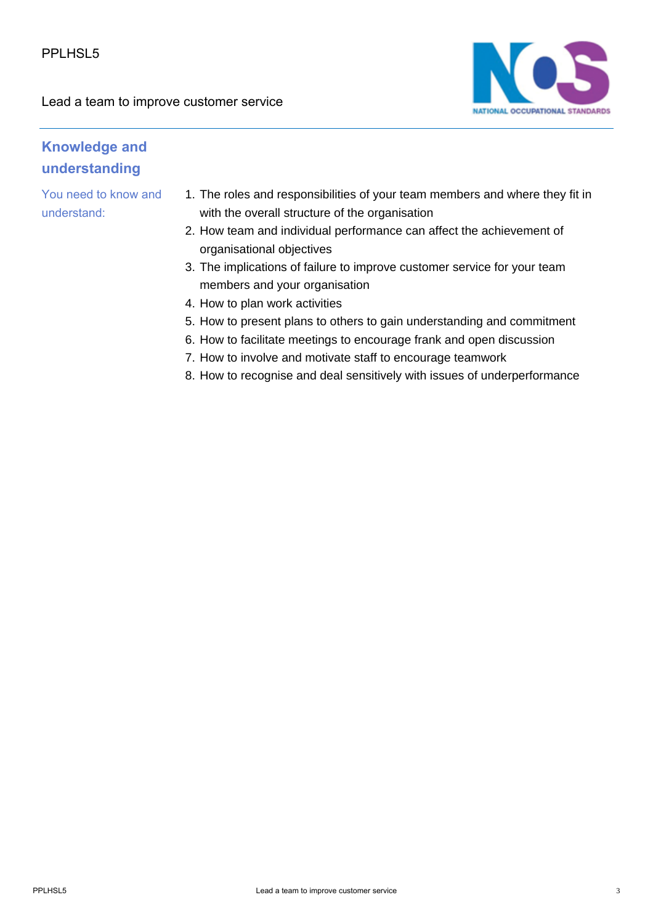

## **Knowledge and understanding**

You need to know and understand:

- 1. The roles and responsibilities of your team members and where they fit in with the overall structure of the organisation
- 2. How team and individual performance can affect the achievement of organisational objectives
- 3. The implications of failure to improve customer service for your team members and your organisation
- 4. How to plan work activities
- 5. How to present plans to others to gain understanding and commitment
- 6. How to facilitate meetings to encourage frank and open discussion
- 7. How to involve and motivate staff to encourage teamwork
- 8. How to recognise and deal sensitively with issues of underperformance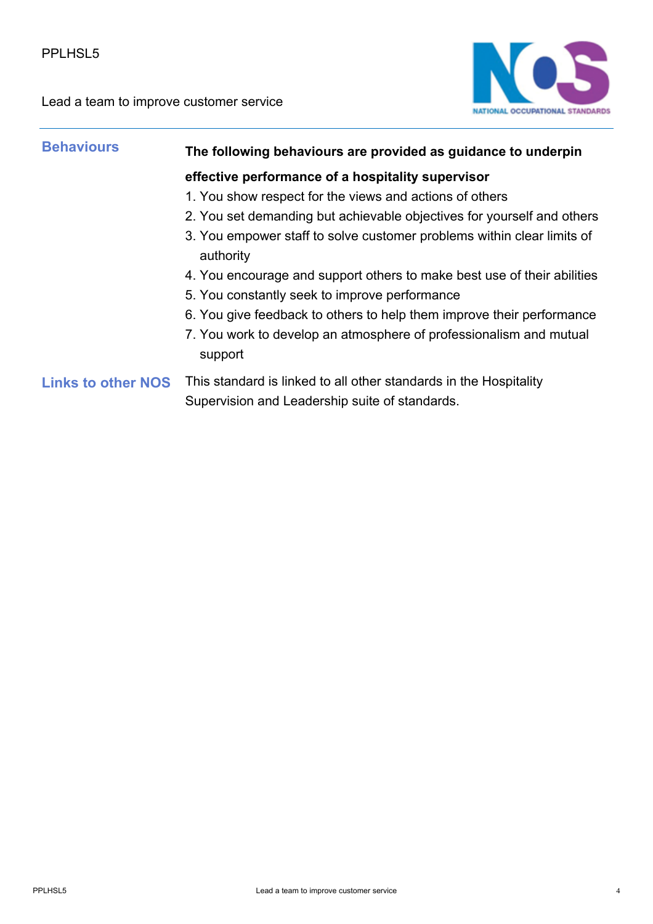

| <b>Behaviours</b>         | The following behaviours are provided as guidance to underpin                                                       |
|---------------------------|---------------------------------------------------------------------------------------------------------------------|
|                           | effective performance of a hospitality supervisor                                                                   |
|                           | 1. You show respect for the views and actions of others                                                             |
|                           | 2. You set demanding but achievable objectives for yourself and others                                              |
|                           | 3. You empower staff to solve customer problems within clear limits of<br>authority                                 |
|                           | 4. You encourage and support others to make best use of their abilities                                             |
|                           | 5. You constantly seek to improve performance                                                                       |
|                           | 6. You give feedback to others to help them improve their performance                                               |
|                           | 7. You work to develop an atmosphere of professionalism and mutual<br>support                                       |
| <b>Links to other NOS</b> | This standard is linked to all other standards in the Hospitality<br>Supervision and Leadership suite of standards. |